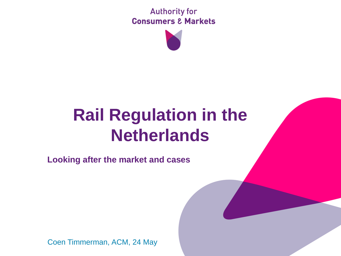**Authority for Consumers & Markets** 



# **Rail Regulation in the Netherlands**

**Looking after the market and cases**

Coen Timmerman, ACM, 24 May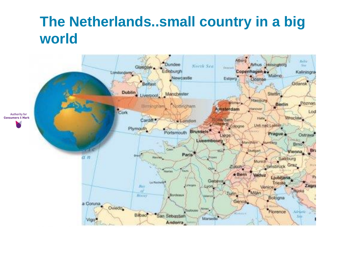### **The Netherlands..small country in a big world**

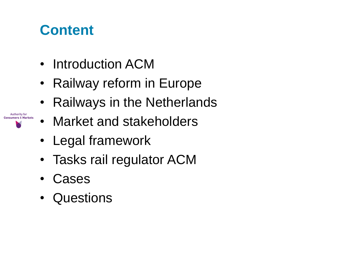### **Content**

- Introduction ACM
- Railway reform in Europe
- Railways in the Netherlands
- Market and stakeholders
- Legal framework
- Tasks rail regulator ACM
- **Cases**

**Authority for Consumers & Markets** 

• Questions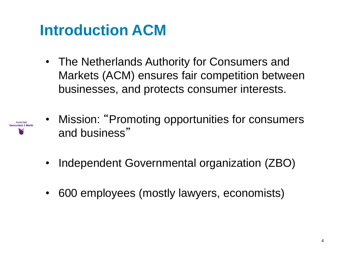# **Introduction ACM**

• The Netherlands Authority for Consumers and Markets (ACM) ensures fair competition between businesses, and protects consumer interests.



- Mission: "Promoting opportunities for consumers" and business"
- Independent Governmental organization (ZBO)
- 600 employees (mostly lawyers, economists)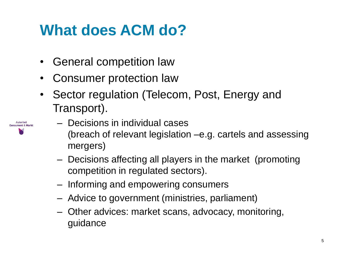# **What does ACM do?**

- General competition law
- Consumer protection law
- Sector regulation (Telecom, Post, Energy and Transport).
- Autoriteil Concument & Mark
- Decisions in individual cases (breach of relevant legislation –e.g. cartels and assessing mergers)
	- Decisions affecting all players in the market (promoting competition in regulated sectors).
	- Informing and empowering consumers
	- Advice to government (ministries, parliament)
	- Other advices: market scans, advocacy, monitoring, guidance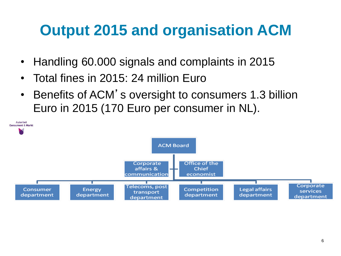# **Output 2015 and organisation ACM**

- Handling 60.000 signals and complaints in 2015
- Total fines in 2015: 24 million Euro
- Benefits of ACM's oversight to consumers 1.3 billion Euro in 2015 (170 Euro per consumer in NL).

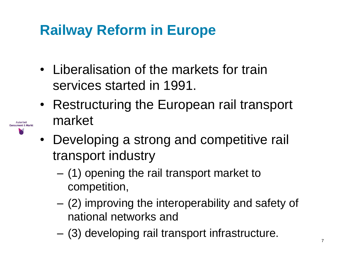## **Railway Reform in Europe**

- Liberalisation of the markets for train services started in 1991.
- Restructuring the European rail transport market
- **Autoriteit** Consument & Markt A
- Developing a strong and competitive rail transport industry
	- (1) opening the rail transport market to competition,
	- (2) improving the interoperability and safety of national networks and
	- (3) developing rail transport infrastructure.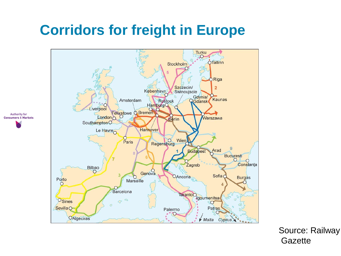### **Corridors for freight in Europe**



Source: Railway **Gazette**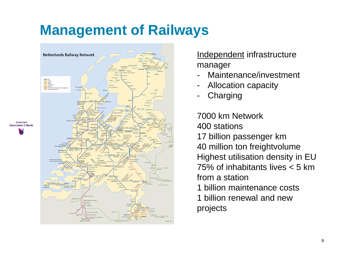### **Management of Railways**



Independent infrastructure manager

- Maintenance/investment
- Allocation capacity
- **Charging**

7000 km Network 400 stations 17 billion passenger km 40 million ton freightvolume Highest utilisation density in EU 75% of inhabitants lives < 5 km from a station 1 billion maintenance costs 1 billion renewal and new projects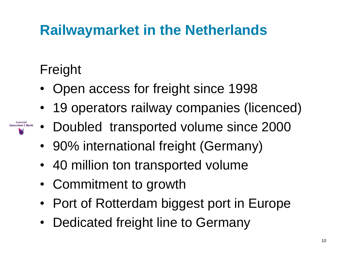## **Railwaymarket in the Netherlands**

### Freight

- Open access for freight since 1998
- 19 operators railway companies (licenced)
- Doubled transported volume since 2000
- 90% international freight (Germany)
- 40 million ton transported volume
- Commitment to growth
- Port of Rotterdam biggest port in Europe
- Dedicated freight line to Germany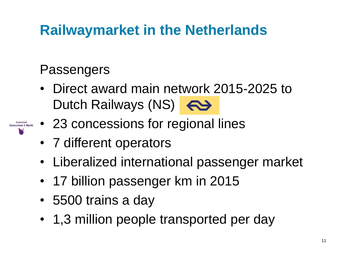## **Railwaymarket in the Netherlands**

### Passengers

- Direct award main network 2015-2025 to Dutch Railways (NS)
- 23 concessions for regional lines
- 7 different operators
- Liberalized international passenger market
- 17 billion passenger km in 2015
- 5500 trains a day
- 1,3 million people transported per day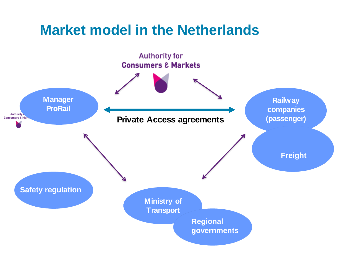### **Market model in the Netherlands**

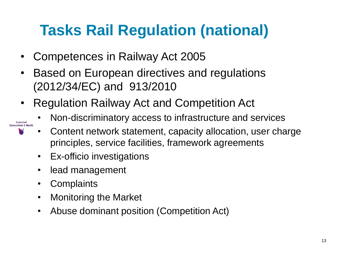# **Tasks Rail Regulation (national)**

- Competences in Railway Act 2005
- Based on European directives and regulations (2012/34/EC) and 913/2010
- Regulation Railway Act and Competition Act
	- Non-discriminatory access to infrastructure and services
	- Content network statement, capacity allocation, user charge principles, service facilities, framework agreements
	- Ex-officio investigations
	- lead management
	- Complaints

Autoriteit **Consument & Markt** 

- Monitoring the Market
- Abuse dominant position (Competition Act)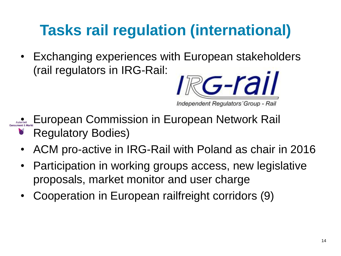# **Tasks rail regulation (international)**

• Exchanging experiences with European stakeholders (rail regulators in IRG-Rail:



• European Commission in European Network Rail

- Regulatory Bodies)
- ACM pro-active in IRG-Rail with Poland as chair in 2016
- Participation in working groups access, new legislative proposals, market monitor and user charge
- Cooperation in European railfreight corridors (9)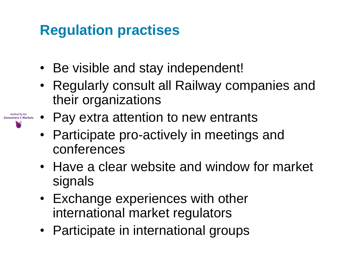### **Regulation practises**

**Authority for** 

- Be visible and stay independent!
- Regularly consult all Railway companies and their organizations
- Pay extra attention to new entrants
	- Participate pro-actively in meetings and conferences
	- Have a clear website and window for market signals
	- Exchange experiences with other international market regulators
	- Participate in international groups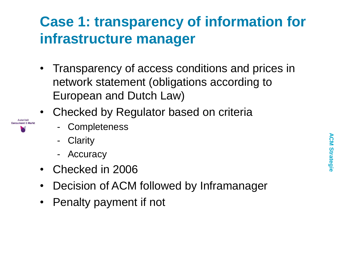## **Case 1: transparency of information for infrastructure manager**

- Transparency of access conditions and prices in network statement (obligations according to European and Dutch Law)
- Checked by Regulator based on criteria
	- **Completeness** 
		- **Clarity**

Autoriteit **Consument & Markt** 

- **Accuracy**
- Checked in 2006
- Decision of ACM followed by Inframanager
- Penalty payment if not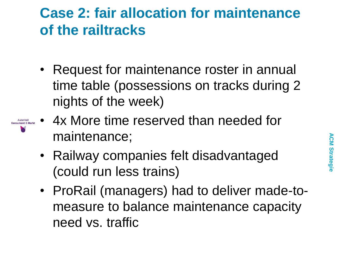### **Case 2: fair allocation for maintenance of the railtracks**

- Request for maintenance roster in annual time table (possessions on tracks during 2 nights of the week)
- Autoriteit<br>Consument & Markt
- 4x More time reserved than needed for maintenance;
	- Railway companies felt disadvantaged (could run less trains)
	- ProRail (managers) had to deliver made-tomeasure to balance maintenance capacity need vs. traffic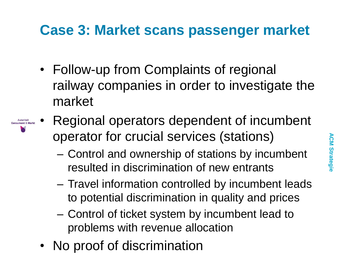### **Case 3: Market scans passenger market**

- Follow-up from Complaints of regional railway companies in order to investigate the market
- Regional operators dependent of incumbent Autoriteit **Consument & Markt** operator for crucial services (stations)
	- Control and ownership of stations by incumbent resulted in discrimination of new entrants
	- Travel information controlled by incumbent leads to potential discrimination in quality and prices
	- Control of ticket system by incumbent lead to problems with revenue allocation
	- No proof of discrimination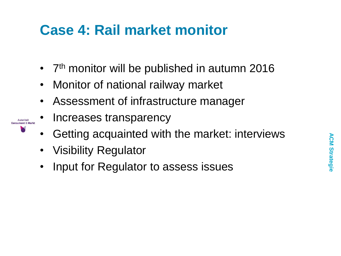### **Case 4: Rail market monitor**

- 7<sup>th</sup> monitor will be published in autumn 2016
- Monitor of national railway market
- Assessment of infrastructure manager
- Increases transparency
- Getting acquainted with the market: interviews
- Visibility Regulator

Autoriteit **Consument & Ma** 

• Input for Regulator to assess issues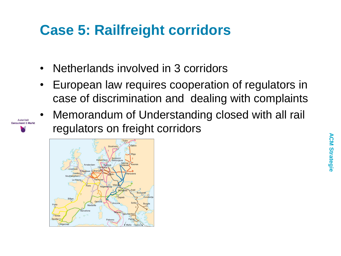### **Case 5: Railfreight corridors**

- Netherlands involved in 3 corridors
- European law requires cooperation of regulators in case of discrimination and dealing with complaints
- Memorandum of Understanding closed with all rail regulators on freight corridors



Autoriteit **Consument & Markt**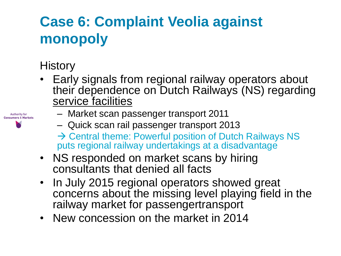## **Case 6: Complaint Veolia against monopoly**

#### **History**

• Early signals from regional railway operators about their dependence on Dutch Railways (NS) regarding service facilities

| <b>Authority for</b><br><b>Consumers &amp; Markets</b> |
|--------------------------------------------------------|
|                                                        |
|                                                        |

- Market scan passenger transport 2011
	- Quick scan rail passenger transport 2013
	- $\rightarrow$  Central theme: Powerful position of Dutch Railways NS puts regional railway undertakings at a disadvantage
- NS responded on market scans by hiring consultants that denied all facts
- In July 2015 regional operators showed great concerns about the missing level playing field in the railway market for passengertransport
- New concession on the market in 2014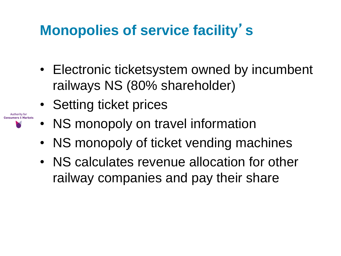## **Monopolies of service facility**'**s**

- Electronic ticketsystem owned by incumbent railways NS (80% shareholder)
- Setting ticket prices

**Authority for Consumers & Markets** 

- NS monopoly on travel information
- NS monopoly of ticket vending machines
- NS calculates revenue allocation for other railway companies and pay their share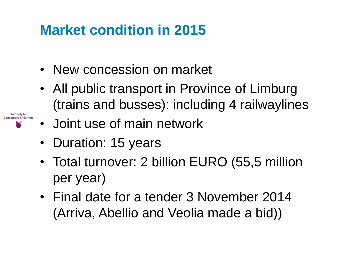### **Market condition in 2015**

- New concession on market
- All public transport in Province of Limburg (trains and busses): including 4 railwaylines

• Joint use of main network

• Duration: 15 years

**Authority for** 

- Total turnover: 2 billion EURO (55,5 million per year)
- Final date for a tender 3 November 2014 (Arriva, Abellio and Veolia made a bid))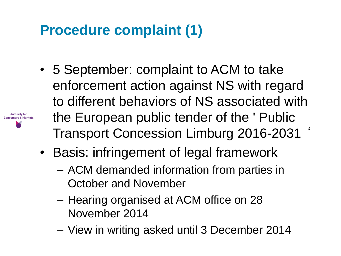### **Procedure complaint (1)**

**Authority for Consumers & Markets** 

- 5 September: complaint to ACM to take enforcement action against NS with regard to different behaviors of NS associated with the European public tender of the ' Public Transport Concession Limburg 2016-2031 '
- Basis: infringement of legal framework
	- ACM demanded information from parties in October and November
	- Hearing organised at ACM office on 28 November 2014
	- View in writing asked until 3 December 2014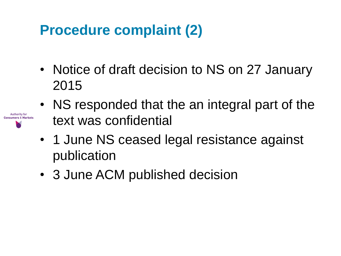### **Procedure complaint (2)**

**Authority for** 

- Notice of draft decision to NS on 27 January 2015
- NS responded that the an integral part of the text was confidential
- 1 June NS ceased legal resistance against publication
- 3 June ACM published decision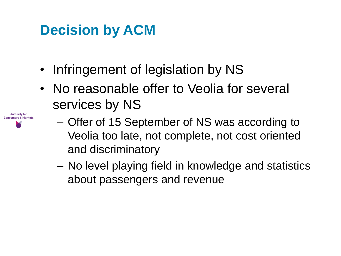## **Decision by ACM**

**Authority for Consumers & Markets** 

- Infringement of legislation by NS
- No reasonable offer to Veolia for several services by NS
	- Offer of 15 September of NS was according to Veolia too late, not complete, not cost oriented and discriminatory
		- No level playing field in knowledge and statistics about passengers and revenue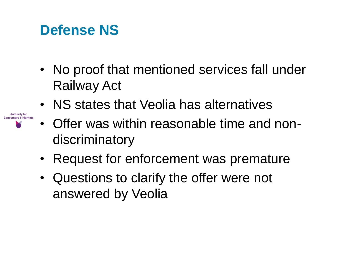### **Defense NS**

**Authority for Consumers & Markets** 

- No proof that mentioned services fall under Railway Act
- NS states that Veolia has alternatives
- Offer was within reasonable time and nondiscriminatory
- Request for enforcement was premature
- Questions to clarify the offer were not answered by Veolia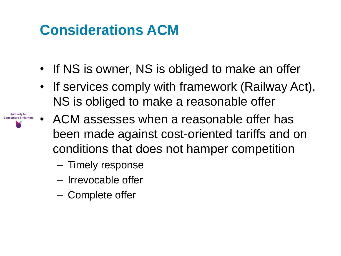### **Considerations ACM**

- If NS is owner, NS is obliged to make an offer
- If services comply with framework (Railway Act), NS is obliged to make a reasonable offer
- **Authority for Consumers & Markets**
- ACM assesses when a reasonable offer has been made against cost-oriented tariffs and on conditions that does not hamper competition
	- Timely response
	- Irrevocable offer
	- Complete offer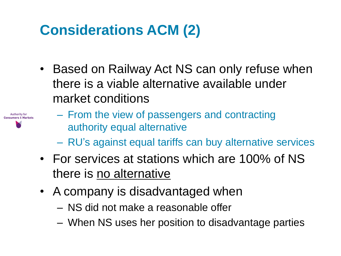### **Considerations ACM (2)**

• Based on Railway Act NS can only refuse when there is a viable alternative available under market conditions



- From the view of passengers and contracting authority equal alternative
- RU's against equal tariffs can buy alternative services
- For services at stations which are 100% of NS there is no alternative
- A company is disadvantaged when
	- NS did not make a reasonable offer
	- When NS uses her position to disadvantage parties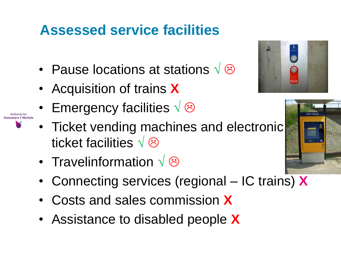### **Assessed service facilities**

- Pause locations at stations  $\sqrt{\otimes}$
- Acquisition of trains **X**

**Authority for** 

- Emergency facilities  $\sqrt{\otimes}$
- Ticket vending machines and electronic ticket facilities  $\sqrt{\otimes}$
- Travelinformation  $\sqrt{\otimes}$
- Connecting services (regional IC trains) **X**
- Costs and sales commission **X**
- Assistance to disabled people **X**



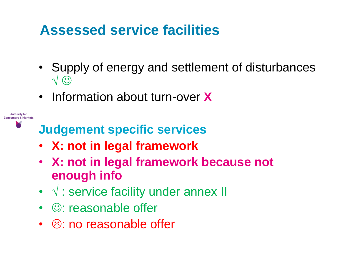### **Assessed service facilities**

- Supply of energy and settlement of disturbances √ ⊙
- Information about turn-over **X**

**Judgement specific services**

- **X: not in legal framework**
- **X: not in legal framework because not enough info**
- √ : service facility under annex II
- $\cdot$   $\circ$ : reasonable offer

**Authority for** Concumers & Markets

 $\cdot$   $\circledcirc$ : no reasonable offer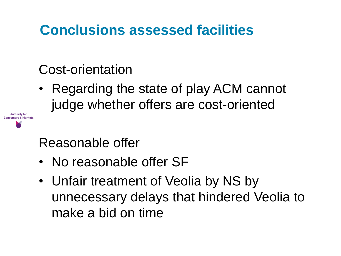### **Conclusions assessed facilities**

### Cost-orientation

**Authority for Concumers & Market**  • Regarding the state of play ACM cannot judge whether offers are cost-oriented

### Reasonable offer

- No reasonable offer SF
- Unfair treatment of Veolia by NS by unnecessary delays that hindered Veolia to make a bid on time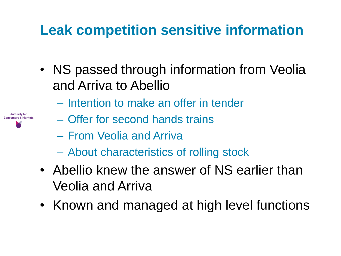## **Leak competition sensitive information**

- NS passed through information from Veolia and Arriva to Abellio
	- Intention to make an offer in tender



- Offer for second hands trains
- From Veolia and Arriva
- About characteristics of rolling stock
- Abellio knew the answer of NS earlier than Veolia and Arriva
- Known and managed at high level functions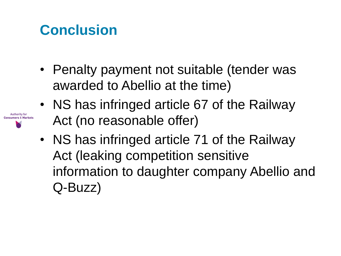## **Conclusion**

**Authority for Consumers & Markets** 

- Penalty payment not suitable (tender was awarded to Abellio at the time)
- NS has infringed article 67 of the Railway Act (no reasonable offer)
- NS has infringed article 71 of the Railway Act (leaking competition sensitive information to daughter company Abellio and Q-Buzz)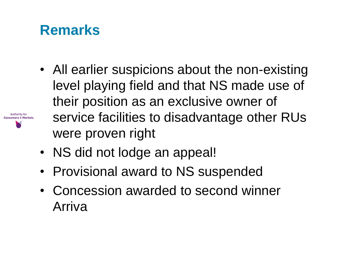### **Remarks**

**Authority for** Concumers & Markets

- All earlier suspicions about the non-existing level playing field and that NS made use of their position as an exclusive owner of service facilities to disadvantage other RUs were proven right
- NS did not lodge an appeal!
- Provisional award to NS suspended
- Concession awarded to second winner Arriva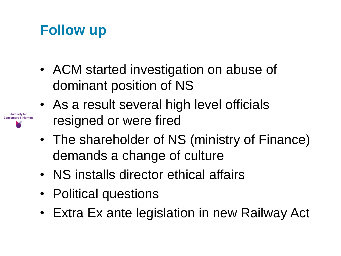### **Follow up**

**Authority for** 

- ACM started investigation on abuse of dominant position of NS
- As a result several high level officials resigned or were fired
- The shareholder of NS (ministry of Finance) demands a change of culture
- NS installs director ethical affairs
- Political questions
- Extra Ex ante legislation in new Railway Act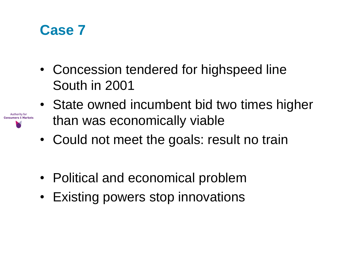

**Authority for Consumers & Markets** 

- Concession tendered for highspeed line South in 2001
- State owned incumbent bid two times higher than was economically viable
- Could not meet the goals: result no train
- Political and economical problem
- Existing powers stop innovations